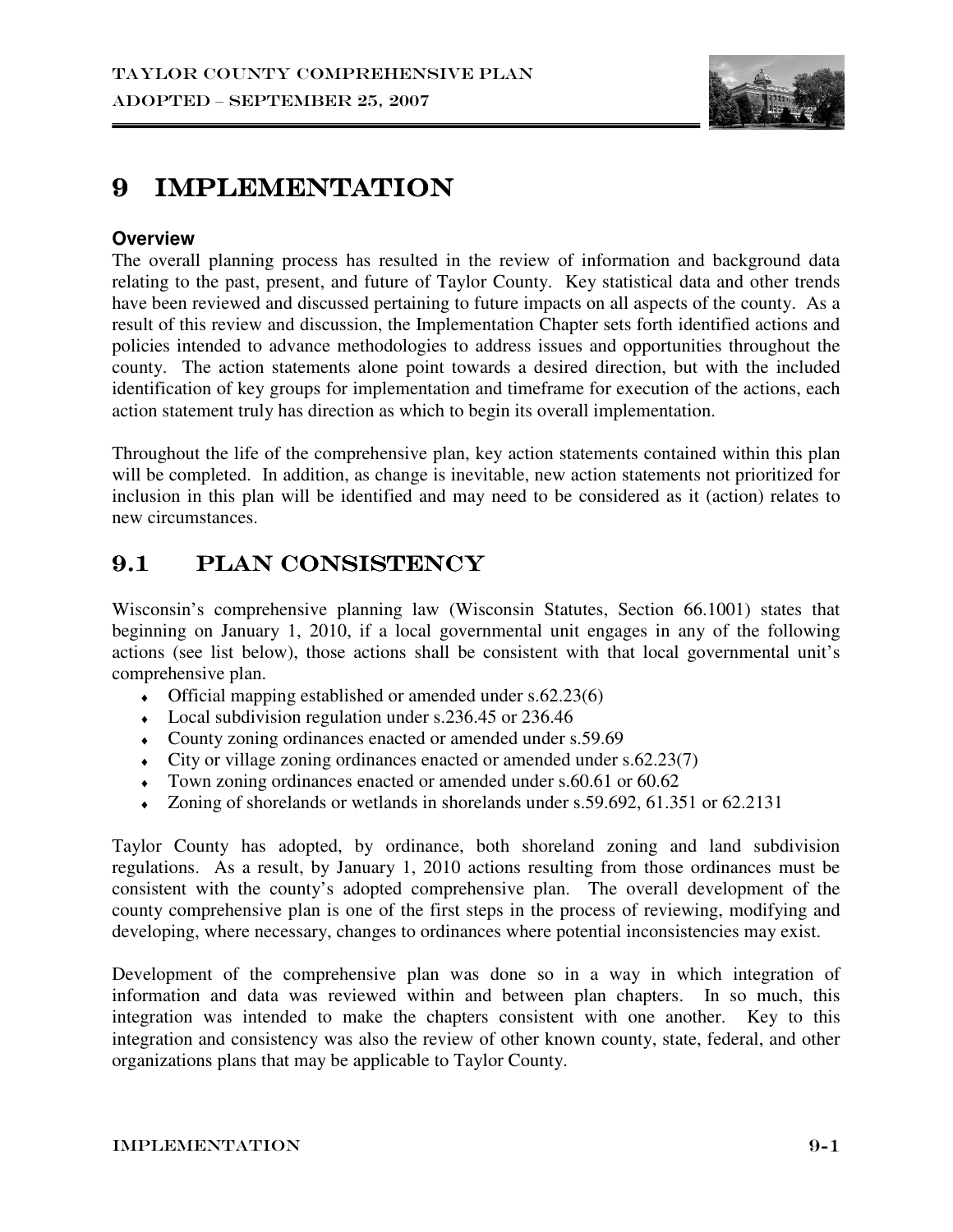

## 9 IMPLEMENTATION

#### **Overview**

The overall planning process has resulted in the review of information and background data relating to the past, present, and future of Taylor County. Key statistical data and other trends have been reviewed and discussed pertaining to future impacts on all aspects of the county. As a result of this review and discussion, the Implementation Chapter sets forth identified actions and policies intended to advance methodologies to address issues and opportunities throughout the county. The action statements alone point towards a desired direction, but with the included identification of key groups for implementation and timeframe for execution of the actions, each action statement truly has direction as which to begin its overall implementation.

Throughout the life of the comprehensive plan, key action statements contained within this plan will be completed. In addition, as change is inevitable, new action statements not prioritized for inclusion in this plan will be identified and may need to be considered as it (action) relates to new circumstances.

## 9.1 PLAN CONSISTENCY

Wisconsin's comprehensive planning law (Wisconsin Statutes, Section 66.1001) states that beginning on January 1, 2010, if a local governmental unit engages in any of the following actions (see list below), those actions shall be consistent with that local governmental unit's comprehensive plan.

- $\bullet$  Official mapping established or amended under s.62.23(6)
- $\bullet$  Local subdivision regulation under s.236.45 or 236.46
- ♦ County zoning ordinances enacted or amended under s.59.69
- $\bullet$  City or village zoning ordinances enacted or amended under s.62.23(7)
- $\bullet$  Town zoning ordinances enacted or amended under s.60.61 or 60.62
- $\bullet$  Zoning of shorelands or wetlands in shorelands under s.59.692, 61.351 or 62.2131

Taylor County has adopted, by ordinance, both shoreland zoning and land subdivision regulations. As a result, by January 1, 2010 actions resulting from those ordinances must be consistent with the county's adopted comprehensive plan. The overall development of the county comprehensive plan is one of the first steps in the process of reviewing, modifying and developing, where necessary, changes to ordinances where potential inconsistencies may exist.

Development of the comprehensive plan was done so in a way in which integration of information and data was reviewed within and between plan chapters. In so much, this integration was intended to make the chapters consistent with one another. Key to this integration and consistency was also the review of other known county, state, federal, and other organizations plans that may be applicable to Taylor County.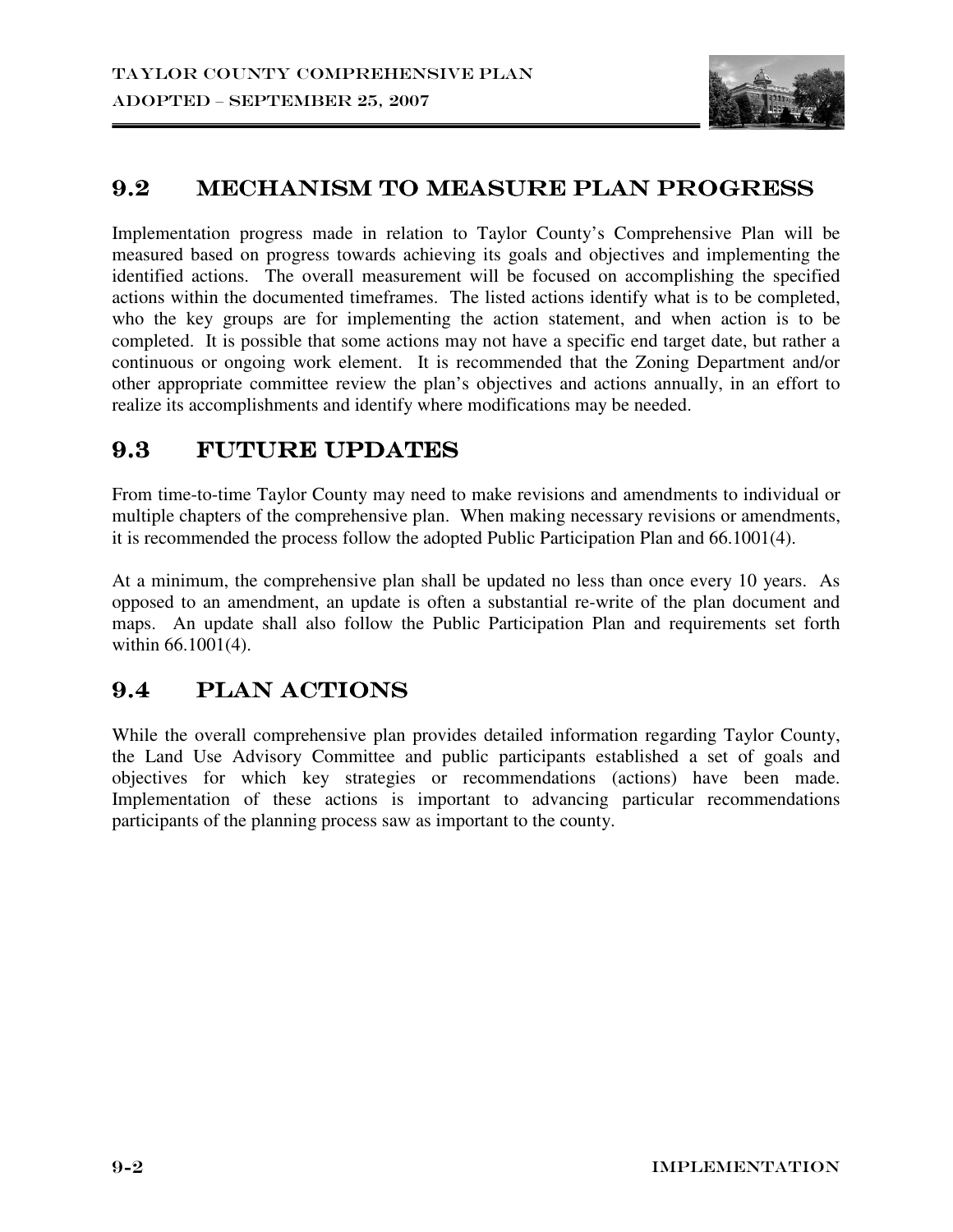

### 9.2 MECHANISM TO MEASURE PLAN PROGRESS

Implementation progress made in relation to Taylor County's Comprehensive Plan will be measured based on progress towards achieving its goals and objectives and implementing the identified actions. The overall measurement will be focused on accomplishing the specified actions within the documented timeframes. The listed actions identify what is to be completed, who the key groups are for implementing the action statement, and when action is to be completed. It is possible that some actions may not have a specific end target date, but rather a continuous or ongoing work element. It is recommended that the Zoning Department and/or other appropriate committee review the plan's objectives and actions annually, in an effort to realize its accomplishments and identify where modifications may be needed.

### 9.3 FUTURE UPDATES

From time-to-time Taylor County may need to make revisions and amendments to individual or multiple chapters of the comprehensive plan. When making necessary revisions or amendments, it is recommended the process follow the adopted Public Participation Plan and 66.1001(4).

At a minimum, the comprehensive plan shall be updated no less than once every 10 years. As opposed to an amendment, an update is often a substantial re-write of the plan document and maps. An update shall also follow the Public Participation Plan and requirements set forth within 66.1001(4).

## 9.4 PLAN ACTIONS

While the overall comprehensive plan provides detailed information regarding Taylor County, the Land Use Advisory Committee and public participants established a set of goals and objectives for which key strategies or recommendations (actions) have been made. Implementation of these actions is important to advancing particular recommendations participants of the planning process saw as important to the county.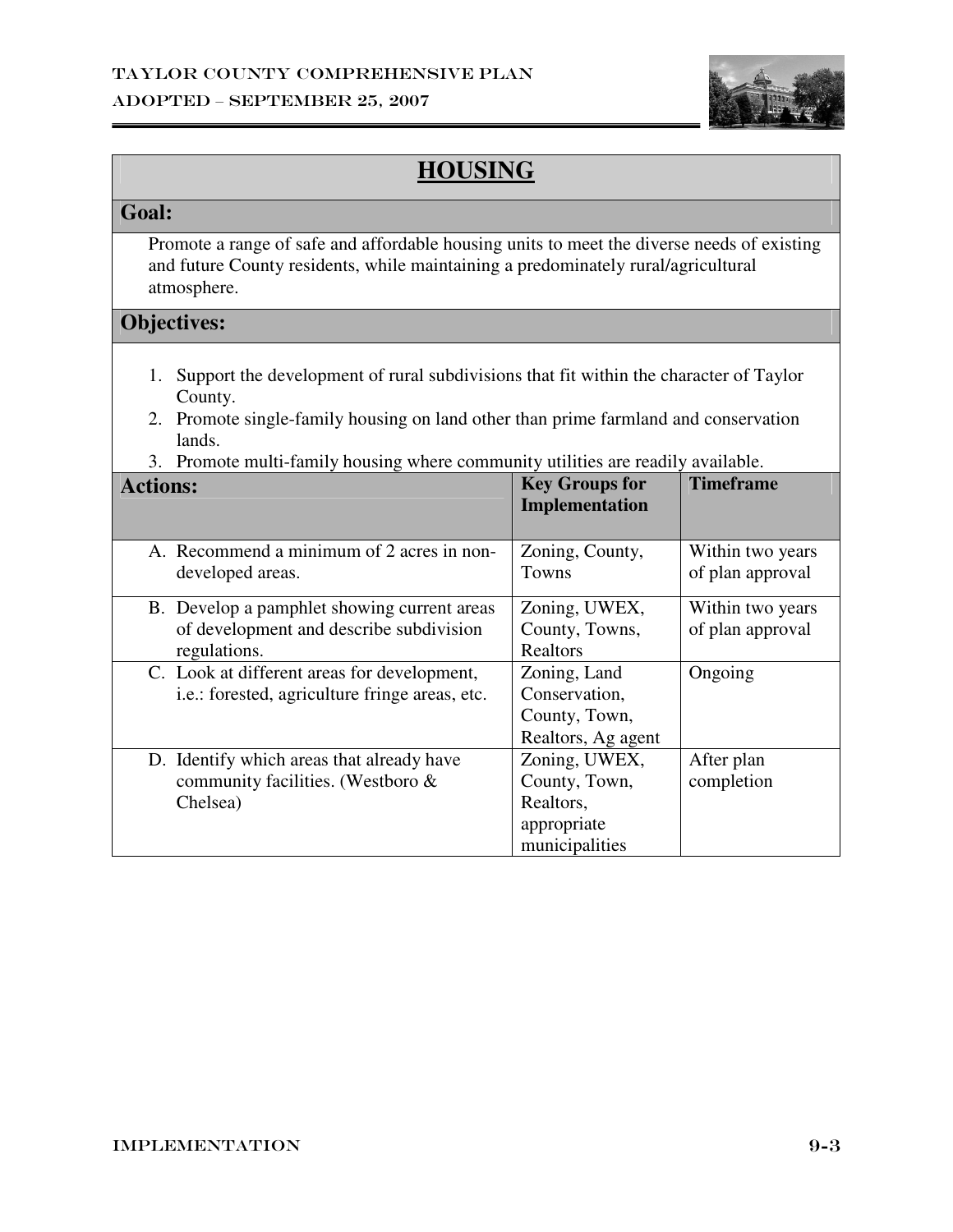

# **HOUSING**

### **Goal:**

 Promote a range of safe and affordable housing units to meet the diverse needs of existing and future County residents, while maintaining a predominately rural/agricultural atmosphere.

- 1. Support the development of rural subdivisions that fit within the character of Taylor County.
- 2. Promote single-family housing on land other than prime farmland and conservation lands.
- 3. Promote multi-family housing where community utilities are readily available.

| <b>Actions:</b>                                | <b>Key Groups for</b><br><b>Implementation</b> | <b>Timeframe</b> |
|------------------------------------------------|------------------------------------------------|------------------|
|                                                |                                                |                  |
| A. Recommend a minimum of 2 acres in non-      | Zoning, County,                                | Within two years |
| developed areas.                               | Towns                                          | of plan approval |
| B. Develop a pamphlet showing current areas    | Zoning, UWEX,                                  | Within two years |
| of development and describe subdivision        | County, Towns,                                 | of plan approval |
| regulations.                                   | Realtors                                       |                  |
| C. Look at different areas for development,    | Zoning, Land                                   | Ongoing          |
| i.e.: forested, agriculture fringe areas, etc. | Conservation,                                  |                  |
|                                                | County, Town,                                  |                  |
|                                                | Realtors, Ag agent                             |                  |
| D. Identify which areas that already have      | Zoning, UWEX,                                  | After plan       |
| community facilities. (Westboro &              | County, Town,                                  | completion       |
| Chelsea)                                       | Realtors,                                      |                  |
|                                                | appropriate                                    |                  |
|                                                | municipalities                                 |                  |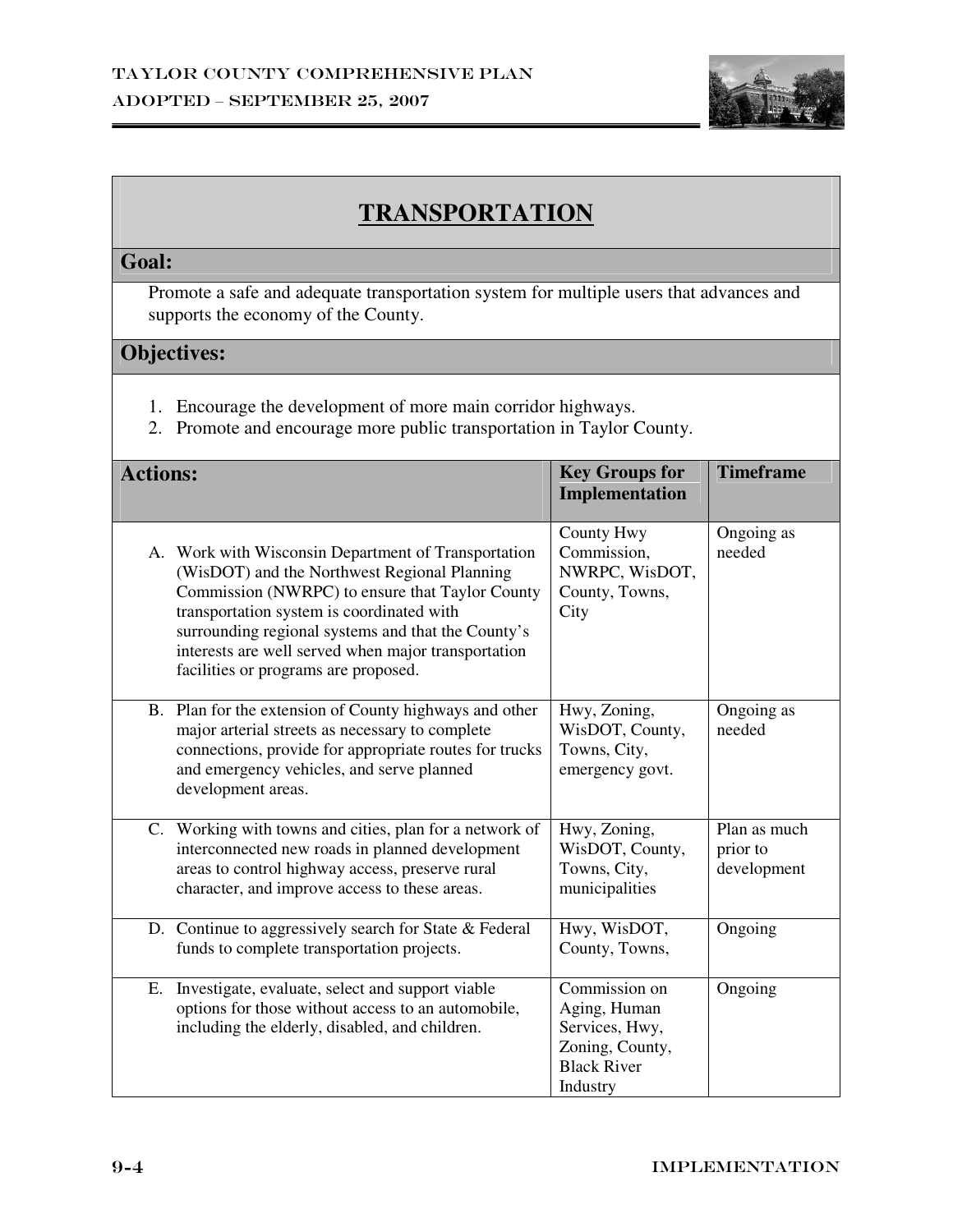

## **TRANSPORTATION**

#### **Goal:**

 Promote a safe and adequate transportation system for multiple users that advances and supports the economy of the County.

- 1. Encourage the development of more main corridor highways.
- 2. Promote and encourage more public transportation in Taylor County.

| <b>Actions:</b>                                                                                                                                                                                                                                                                                                                                          | <b>Key Groups for</b><br>Implementation                                                              | <b>Timeframe</b>                        |
|----------------------------------------------------------------------------------------------------------------------------------------------------------------------------------------------------------------------------------------------------------------------------------------------------------------------------------------------------------|------------------------------------------------------------------------------------------------------|-----------------------------------------|
| A. Work with Wisconsin Department of Transportation<br>(WisDOT) and the Northwest Regional Planning<br>Commission (NWRPC) to ensure that Taylor County<br>transportation system is coordinated with<br>surrounding regional systems and that the County's<br>interests are well served when major transportation<br>facilities or programs are proposed. | <b>County Hwy</b><br>Commission,<br>NWRPC, WisDOT,<br>County, Towns,<br>City                         | Ongoing as<br>needed                    |
| B. Plan for the extension of County highways and other<br>major arterial streets as necessary to complete<br>connections, provide for appropriate routes for trucks<br>and emergency vehicles, and serve planned<br>development areas.                                                                                                                   | Hwy, Zoning,<br>WisDOT, County,<br>Towns, City,<br>emergency govt.                                   | Ongoing as<br>needed                    |
| C. Working with towns and cities, plan for a network of<br>interconnected new roads in planned development<br>areas to control highway access, preserve rural<br>character, and improve access to these areas.                                                                                                                                           | Hwy, Zoning,<br>WisDOT, County,<br>Towns, City,<br>municipalities                                    | Plan as much<br>prior to<br>development |
| D. Continue to aggressively search for State $&$ Federal<br>funds to complete transportation projects.                                                                                                                                                                                                                                                   | Hwy, WisDOT,<br>County, Towns,                                                                       | Ongoing                                 |
| Investigate, evaluate, select and support viable<br>Е.<br>options for those without access to an automobile,<br>including the elderly, disabled, and children.                                                                                                                                                                                           | Commission on<br>Aging, Human<br>Services, Hwy,<br>Zoning, County,<br><b>Black River</b><br>Industry | Ongoing                                 |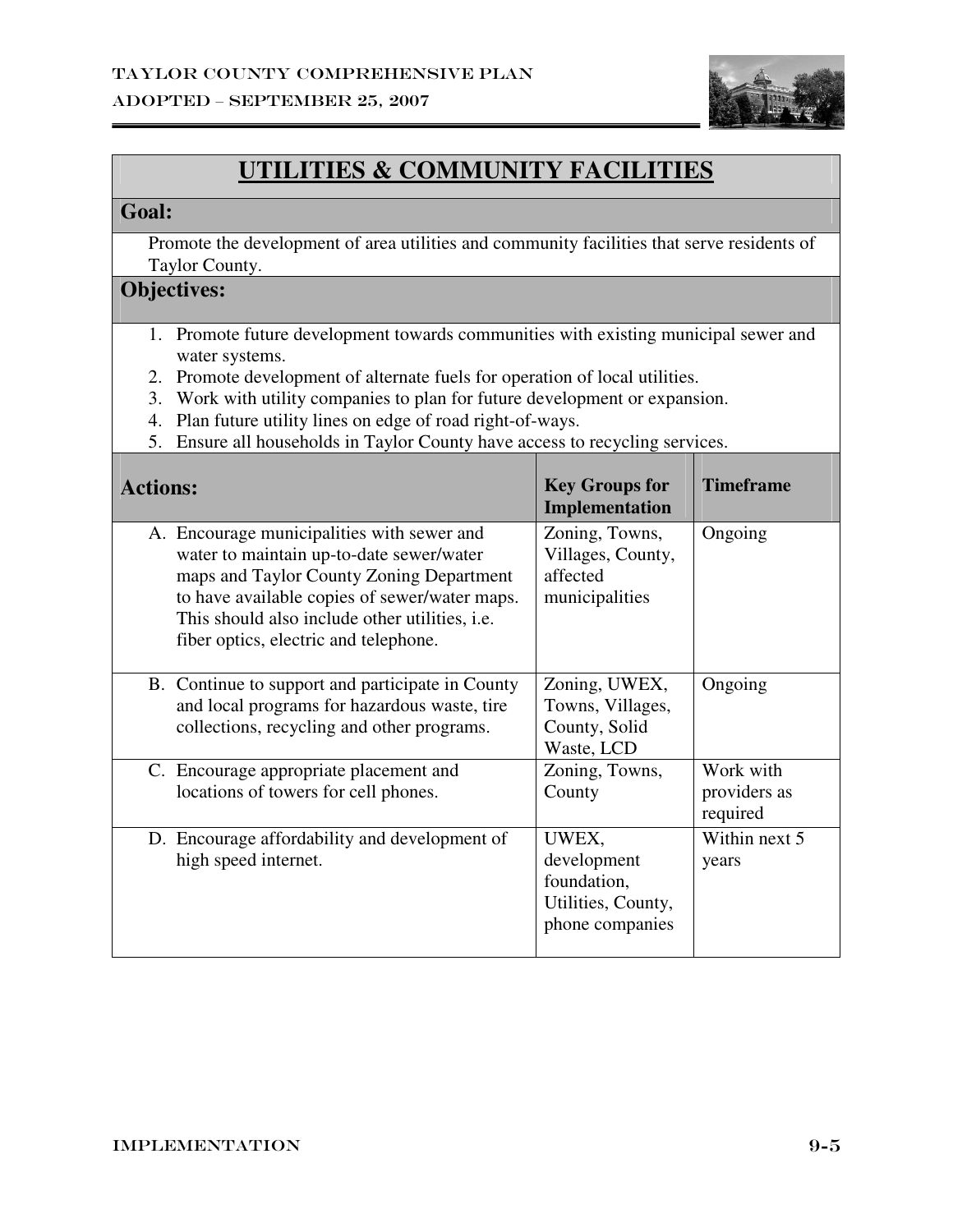

# **UTILITIES & COMMUNITY FACILITIES**

#### **Goal:**

 Promote the development of area utilities and community facilities that serve residents of Taylor County.

- 1. Promote future development towards communities with existing municipal sewer and water systems.
- 2. Promote development of alternate fuels for operation of local utilities.
- 3. Work with utility companies to plan for future development or expansion.
- 4. Plan future utility lines on edge of road right-of-ways.
- 5. Ensure all households in Taylor County have access to recycling services.

| <b>Actions:</b>                                                                                                                                                                                                                                                                | <b>Key Groups for</b><br><b>Implementation</b>                               | <b>Timeframe</b>                      |
|--------------------------------------------------------------------------------------------------------------------------------------------------------------------------------------------------------------------------------------------------------------------------------|------------------------------------------------------------------------------|---------------------------------------|
| A. Encourage municipalities with sewer and<br>water to maintain up-to-date sewer/water<br>maps and Taylor County Zoning Department<br>to have available copies of sewer/water maps.<br>This should also include other utilities, i.e.<br>fiber optics, electric and telephone. | Zoning, Towns,<br>Villages, County,<br>affected<br>municipalities            | Ongoing                               |
| B. Continue to support and participate in County<br>and local programs for hazardous waste, tire<br>collections, recycling and other programs.                                                                                                                                 | Zoning, UWEX,<br>Towns, Villages,<br>County, Solid<br>Waste, LCD             | Ongoing                               |
| C. Encourage appropriate placement and<br>locations of towers for cell phones.                                                                                                                                                                                                 | Zoning, Towns,<br>County                                                     | Work with<br>providers as<br>required |
| D. Encourage affordability and development of<br>high speed internet.                                                                                                                                                                                                          | UWEX,<br>development<br>foundation,<br>Utilities, County,<br>phone companies | Within next 5<br>years                |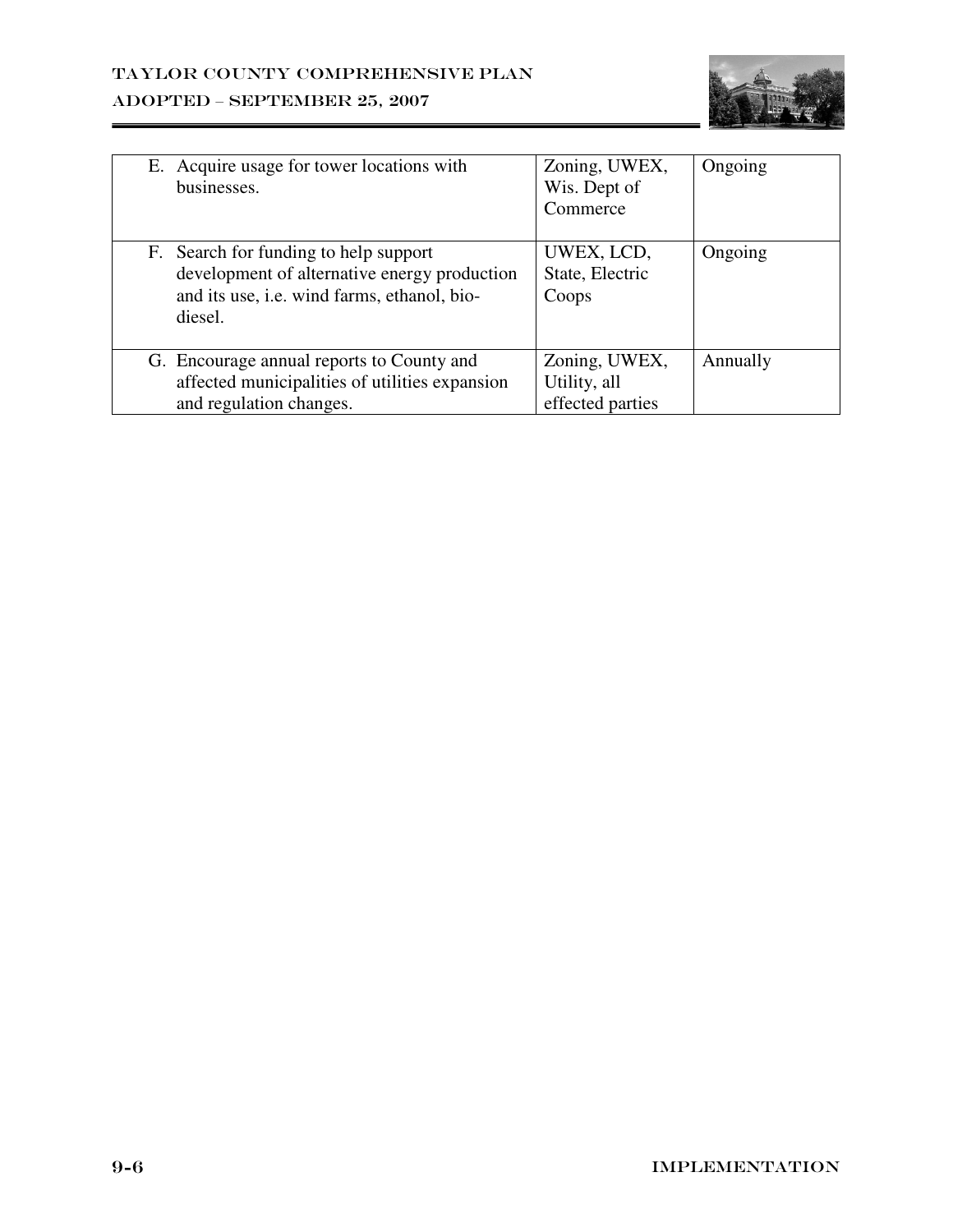

| E. Acquire usage for tower locations with<br>businesses.                                                                                        | Zoning, UWEX,<br>Wis. Dept of<br>Commerce         | Ongoing  |
|-------------------------------------------------------------------------------------------------------------------------------------------------|---------------------------------------------------|----------|
| F. Search for funding to help support<br>development of alternative energy production<br>and its use, i.e. wind farms, ethanol, bio-<br>diesel. | UWEX, LCD,<br>State, Electric<br>Coops            | Ongoing  |
| G. Encourage annual reports to County and<br>affected municipalities of utilities expansion<br>and regulation changes.                          | Zoning, UWEX,<br>Utility, all<br>effected parties | Annually |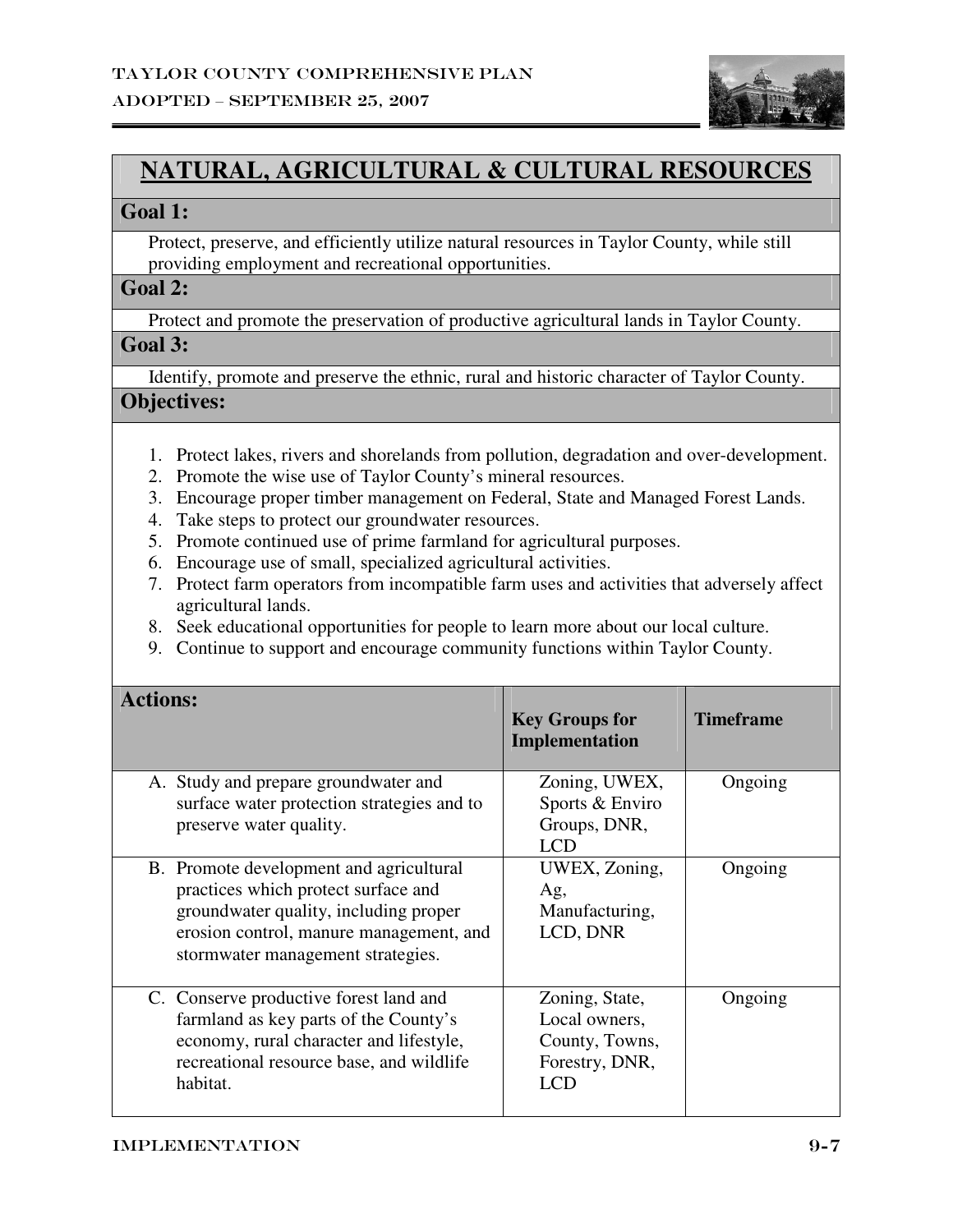

## **NATURAL, AGRICULTURAL & CULTURAL RESOURCES**

#### **Goal 1:**

 Protect, preserve, and efficiently utilize natural resources in Taylor County, while still providing employment and recreational opportunities.

#### **Goal 2:**

Protect and promote the preservation of productive agricultural lands in Taylor County.

#### **Goal 3:**

Identify, promote and preserve the ethnic, rural and historic character of Taylor County.

- 1. Protect lakes, rivers and shorelands from pollution, degradation and over-development.
- 2. Promote the wise use of Taylor County's mineral resources.
- 3. Encourage proper timber management on Federal, State and Managed Forest Lands.
- 4. Take steps to protect our groundwater resources.
- 5. Promote continued use of prime farmland for agricultural purposes.
- 6. Encourage use of small, specialized agricultural activities.
- 7. Protect farm operators from incompatible farm uses and activities that adversely affect agricultural lands.
- 8. Seek educational opportunities for people to learn more about our local culture.
- 9. Continue to support and encourage community functions within Taylor County.

| <b>Actions:</b>                                                                                                                                                                                         | <b>Key Groups for</b><br>Implementation                                           | <b>Timeframe</b> |
|---------------------------------------------------------------------------------------------------------------------------------------------------------------------------------------------------------|-----------------------------------------------------------------------------------|------------------|
| A. Study and prepare groundwater and<br>surface water protection strategies and to<br>preserve water quality.                                                                                           | Zoning, UWEX,<br>Sports & Enviro<br>Groups, DNR,<br><b>LCD</b>                    | Ongoing          |
| B. Promote development and agricultural<br>practices which protect surface and<br>groundwater quality, including proper<br>erosion control, manure management, and<br>stormwater management strategies. | UWEX, Zoning,<br>Ag,<br>Manufacturing,<br>LCD, DNR                                | Ongoing          |
| C. Conserve productive forest land and<br>farmland as key parts of the County's<br>economy, rural character and lifestyle,<br>recreational resource base, and wildlife<br>habitat.                      | Zoning, State,<br>Local owners,<br>County, Towns,<br>Forestry, DNR,<br><b>LCD</b> | Ongoing          |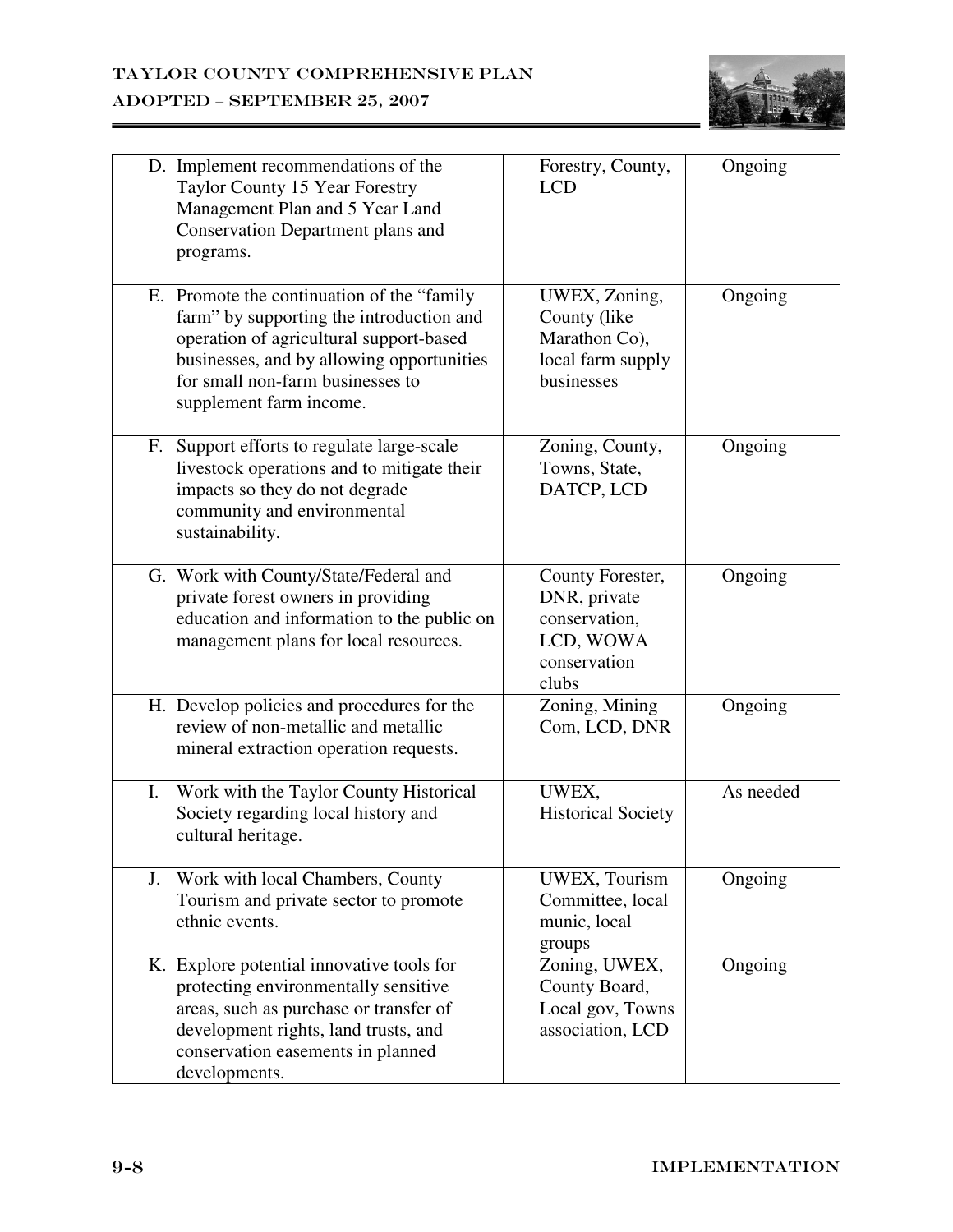

|    | D. Implement recommendations of the<br>Taylor County 15 Year Forestry<br>Management Plan and 5 Year Land<br>Conservation Department plans and<br>programs.                                                                                     | Forestry, County,<br><b>LCD</b>                                                         | Ongoing   |
|----|------------------------------------------------------------------------------------------------------------------------------------------------------------------------------------------------------------------------------------------------|-----------------------------------------------------------------------------------------|-----------|
|    | E. Promote the continuation of the "family"<br>farm" by supporting the introduction and<br>operation of agricultural support-based<br>businesses, and by allowing opportunities<br>for small non-farm businesses to<br>supplement farm income. | UWEX, Zoning,<br>County (like)<br>Marathon Co),<br>local farm supply<br>businesses      | Ongoing   |
|    | F. Support efforts to regulate large-scale<br>livestock operations and to mitigate their<br>impacts so they do not degrade<br>community and environmental<br>sustainability.                                                                   | Zoning, County,<br>Towns, State,<br>DATCP, LCD                                          | Ongoing   |
|    | G. Work with County/State/Federal and<br>private forest owners in providing<br>education and information to the public on<br>management plans for local resources.                                                                             | County Forester,<br>DNR, private<br>conservation,<br>LCD, WOWA<br>conservation<br>clubs | Ongoing   |
|    | H. Develop policies and procedures for the<br>review of non-metallic and metallic<br>mineral extraction operation requests.                                                                                                                    | Zoning, Mining<br>Com, LCD, DNR                                                         | Ongoing   |
| Ι. | Work with the Taylor County Historical<br>Society regarding local history and<br>cultural heritage.                                                                                                                                            | UWEX,<br><b>Historical Society</b>                                                      | As needed |
| J. | Work with local Chambers, County<br>Tourism and private sector to promote<br>ethnic events.                                                                                                                                                    | <b>UWEX, Tourism</b><br>Committee, local<br>munic, local<br>groups                      | Ongoing   |
|    | K. Explore potential innovative tools for<br>protecting environmentally sensitive<br>areas, such as purchase or transfer of<br>development rights, land trusts, and<br>conservation easements in planned<br>developments.                      | Zoning, UWEX,<br>County Board,<br>Local gov, Towns<br>association, LCD                  | Ongoing   |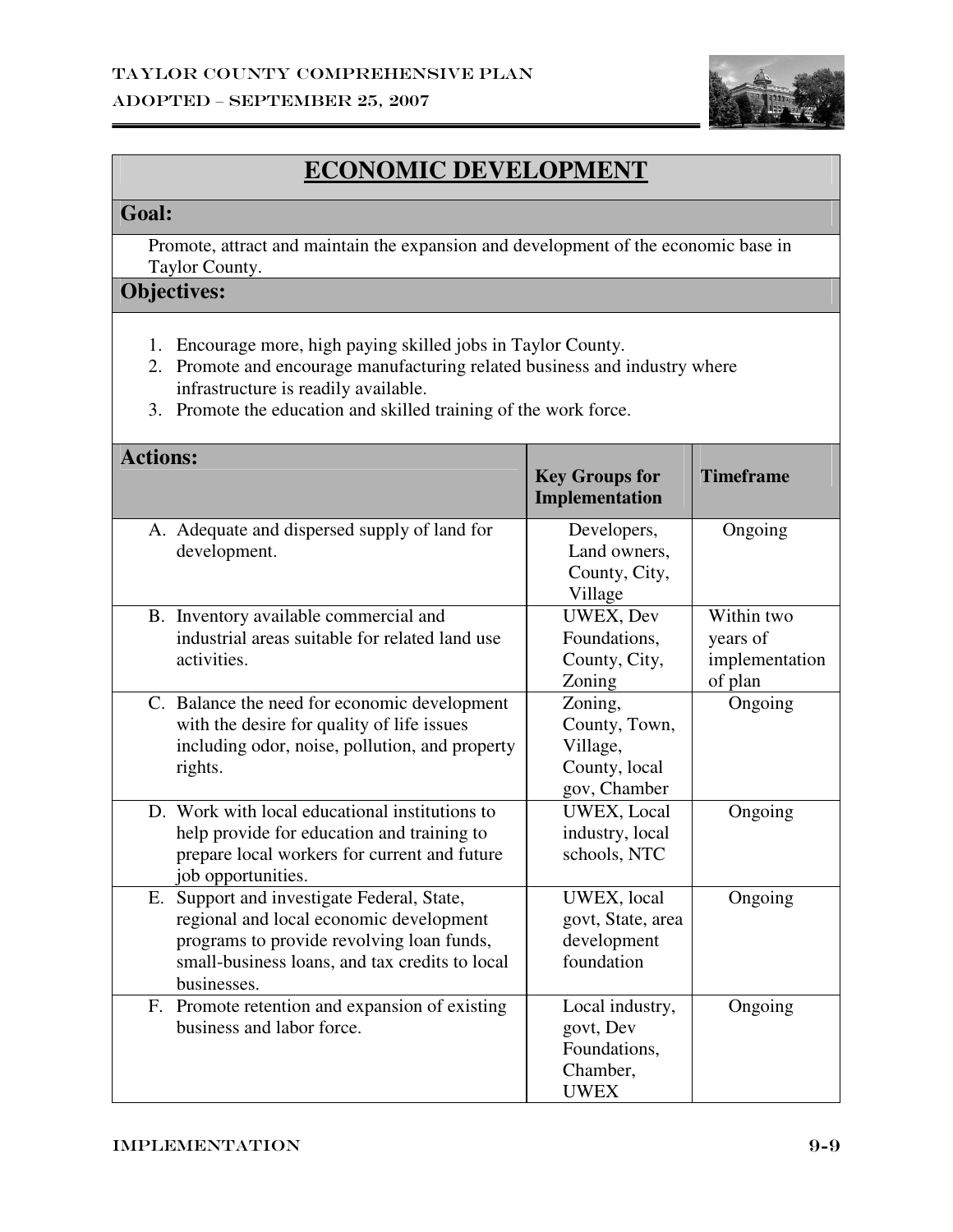

# **ECONOMIC DEVELOPMENT**

#### **Goal:**

 Promote, attract and maintain the expansion and development of the economic base in Taylor County.

- 1. Encourage more, high paying skilled jobs in Taylor County.
- 2. Promote and encourage manufacturing related business and industry where infrastructure is readily available.
- 3. Promote the education and skilled training of the work force.

| <b>Actions:</b>                                | <b>Key Groups for</b><br>Implementation | <b>Timeframe</b> |
|------------------------------------------------|-----------------------------------------|------------------|
|                                                |                                         |                  |
| A. Adequate and dispersed supply of land for   | Developers,                             | Ongoing          |
| development.                                   | Land owners,                            |                  |
|                                                | County, City,                           |                  |
|                                                | Village                                 |                  |
| B. Inventory available commercial and          | UWEX, Dev                               | Within two       |
| industrial areas suitable for related land use | Foundations,                            | years of         |
| activities.                                    | County, City,                           | implementation   |
|                                                | Zoning                                  | of plan          |
| C. Balance the need for economic development   | Zoning,                                 | Ongoing          |
| with the desire for quality of life issues     | County, Town,                           |                  |
| including odor, noise, pollution, and property | Village,                                |                  |
| rights.                                        | County, local                           |                  |
|                                                | gov, Chamber                            |                  |
| D. Work with local educational institutions to | UWEX, Local                             | Ongoing          |
| help provide for education and training to     | industry, local                         |                  |
| prepare local workers for current and future   | schools, NTC                            |                  |
| job opportunities.                             |                                         |                  |
| E. Support and investigate Federal, State,     | UWEX, local                             | Ongoing          |
| regional and local economic development        | govt, State, area                       |                  |
| programs to provide revolving loan funds,      | development                             |                  |
| small-business loans, and tax credits to local | foundation                              |                  |
| businesses.                                    |                                         |                  |
| F. Promote retention and expansion of existing | Local industry,                         | Ongoing          |
| business and labor force.                      | govt, Dev                               |                  |
|                                                | Foundations.                            |                  |
|                                                | Chamber,                                |                  |
|                                                | <b>UWEX</b>                             |                  |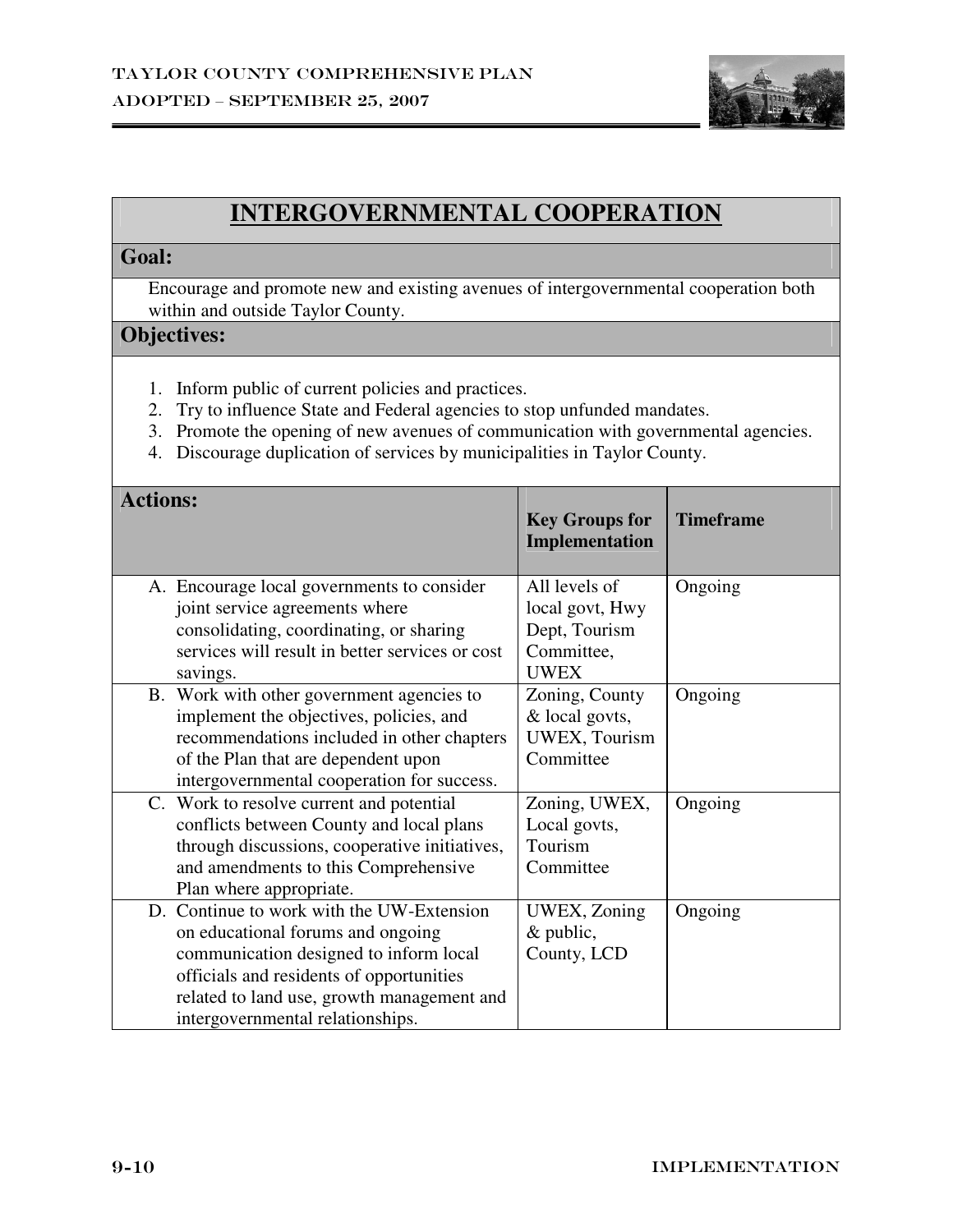

## **INTERGOVERNMENTAL COOPERATION**

#### **Goal:**

 Encourage and promote new and existing avenues of intergovernmental cooperation both within and outside Taylor County.

- 1. Inform public of current policies and practices.
- 2. Try to influence State and Federal agencies to stop unfunded mandates.
- 3. Promote the opening of new avenues of communication with governmental agencies.
- 4. Discourage duplication of services by municipalities in Taylor County.

| <b>Actions:</b>                                                                                                                                                                                                                                        | <b>Key Groups for</b><br>Implementation                                        | <b>Timeframe</b> |
|--------------------------------------------------------------------------------------------------------------------------------------------------------------------------------------------------------------------------------------------------------|--------------------------------------------------------------------------------|------------------|
| A. Encourage local governments to consider<br>joint service agreements where<br>consolidating, coordinating, or sharing<br>services will result in better services or cost                                                                             | All levels of<br>local govt, Hwy<br>Dept, Tourism<br>Committee,<br><b>UWEX</b> | Ongoing          |
| savings.<br>B. Work with other government agencies to<br>implement the objectives, policies, and<br>recommendations included in other chapters<br>of the Plan that are dependent upon<br>intergovernmental cooperation for success.                    | Zoning, County<br>& local govts,<br><b>UWEX, Tourism</b><br>Committee          | Ongoing          |
| C. Work to resolve current and potential<br>conflicts between County and local plans<br>through discussions, cooperative initiatives,<br>and amendments to this Comprehensive<br>Plan where appropriate.                                               | Zoning, UWEX,<br>Local govts,<br>Tourism<br>Committee                          | Ongoing          |
| D. Continue to work with the UW-Extension<br>on educational forums and ongoing<br>communication designed to inform local<br>officials and residents of opportunities<br>related to land use, growth management and<br>intergovernmental relationships. | UWEX, Zoning<br>$&$ public,<br>County, LCD                                     | Ongoing          |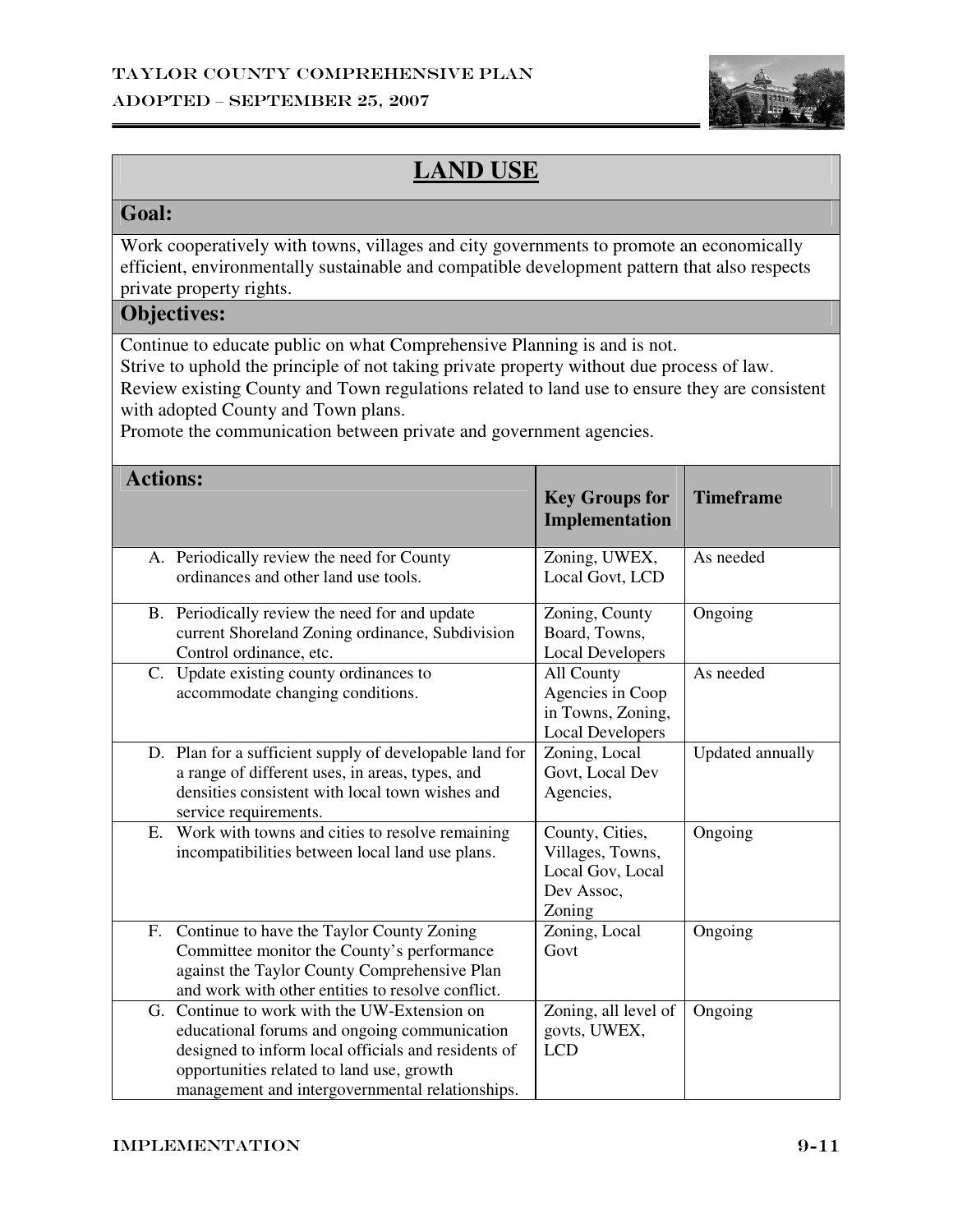

# **LAND USE**

#### **Goal:**

Work cooperatively with towns, villages and city governments to promote an economically efficient, environmentally sustainable and compatible development pattern that also respects private property rights.

## **Objectives:**

Continue to educate public on what Comprehensive Planning is and is not.

Strive to uphold the principle of not taking private property without due process of law.

Review existing County and Town regulations related to land use to ensure they are consistent with adopted County and Town plans.

Promote the communication between private and government agencies.

| <b>Actions:</b>                                                                                                                                                                                                                                        | <b>Key Groups for</b><br>Implementation                                         | <b>Timeframe</b> |
|--------------------------------------------------------------------------------------------------------------------------------------------------------------------------------------------------------------------------------------------------------|---------------------------------------------------------------------------------|------------------|
| A. Periodically review the need for County<br>ordinances and other land use tools.                                                                                                                                                                     | Zoning, UWEX,<br>Local Govt, LCD                                                | As needed        |
| B. Periodically review the need for and update<br>current Shoreland Zoning ordinance, Subdivision<br>Control ordinance, etc.                                                                                                                           | Zoning, County<br>Board, Towns,<br><b>Local Developers</b>                      | Ongoing          |
| C. Update existing county ordinances to<br>accommodate changing conditions.                                                                                                                                                                            | All County<br>Agencies in Coop<br>in Towns, Zoning,<br><b>Local Developers</b>  | As needed        |
| D. Plan for a sufficient supply of developable land for<br>a range of different uses, in areas, types, and<br>densities consistent with local town wishes and<br>service requirements.                                                                 | Zoning, Local<br>Govt, Local Dev<br>Agencies,                                   | Updated annually |
| Work with towns and cities to resolve remaining<br>Ε.<br>incompatibilities between local land use plans.                                                                                                                                               | County, Cities,<br>Villages, Towns,<br>Local Gov, Local<br>Dev Assoc,<br>Zoning | Ongoing          |
| Continue to have the Taylor County Zoning<br>F.<br>Committee monitor the County's performance<br>against the Taylor County Comprehensive Plan<br>and work with other entities to resolve conflict.                                                     | Zoning, Local<br>Govt                                                           | Ongoing          |
| Continue to work with the UW-Extension on<br>G.<br>educational forums and ongoing communication<br>designed to inform local officials and residents of<br>opportunities related to land use, growth<br>management and intergovernmental relationships. | Zoning, all level of<br>govts, UWEX,<br><b>LCD</b>                              | Ongoing          |